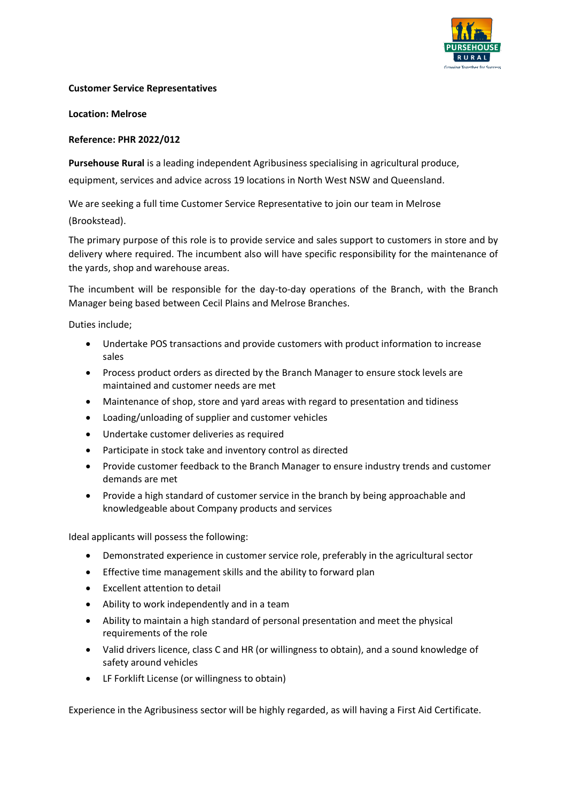

## **Customer Service Representatives**

**Location: Melrose**

## **Reference: PHR 2022/012**

**Pursehouse Rural** is a leading independent Agribusiness specialising in agricultural produce,

equipment, services and advice across 19 locations in North West NSW and Queensland.

We are seeking a full time Customer Service Representative to join our team in Melrose (Brookstead).

The primary purpose of this role is to provide service and sales support to customers in store and by delivery where required. The incumbent also will have specific responsibility for the maintenance of the yards, shop and warehouse areas.

The incumbent will be responsible for the day-to-day operations of the Branch, with the Branch Manager being based between Cecil Plains and Melrose Branches.

Duties include;

- Undertake POS transactions and provide customers with product information to increase sales
- Process product orders as directed by the Branch Manager to ensure stock levels are maintained and customer needs are met
- Maintenance of shop, store and yard areas with regard to presentation and tidiness
- Loading/unloading of supplier and customer vehicles
- Undertake customer deliveries as required
- Participate in stock take and inventory control as directed
- Provide customer feedback to the Branch Manager to ensure industry trends and customer demands are met
- Provide a high standard of customer service in the branch by being approachable and knowledgeable about Company products and services

Ideal applicants will possess the following:

- Demonstrated experience in customer service role, preferably in the agricultural sector
- Effective time management skills and the ability to forward plan
- Excellent attention to detail
- Ability to work independently and in a team
- Ability to maintain a high standard of personal presentation and meet the physical requirements of the role
- Valid drivers licence, class C and HR (or willingness to obtain), and a sound knowledge of safety around vehicles
- LF Forklift License (or willingness to obtain)

Experience in the Agribusiness sector will be highly regarded, as will having a First Aid Certificate.